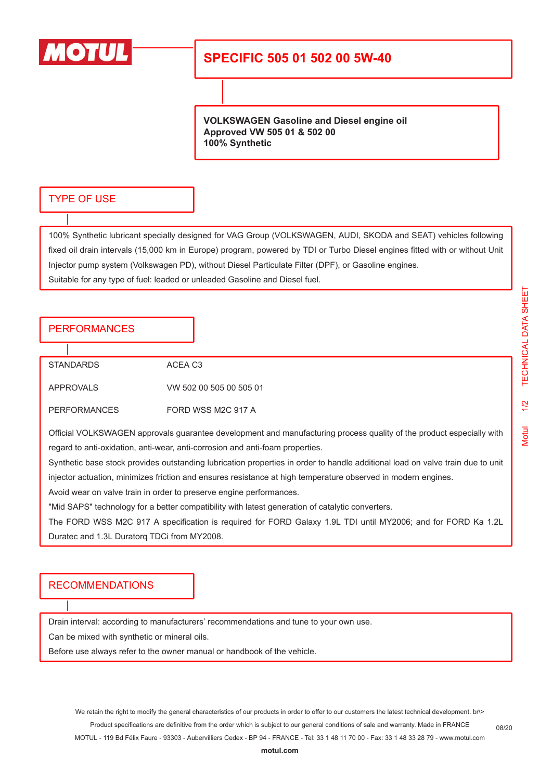

## **SPECIFIC 505 01 502 00 5W-40**

**VOLKSWAGEN Gasoline and Diesel engine oil Approved VW 505 01 & 502 00 100% Synthetic**

#### TYPE OF USE

100% Synthetic lubricant specially designed for VAG Group (VOLKSWAGEN, AUDI, SKODA and SEAT) vehicles following fixed oil drain intervals (15,000 km in Europe) program, powered by TDI or Turbo Diesel engines fitted with or without Unit Injector pump system (Volkswagen PD), without Diesel Particulate Filter (DPF), or Gasoline engines. Suitable for any type of fuel: leaded or unleaded Gasoline and Diesel fuel.

### **PERFORMANCES**

| STANDARDS           | ACFA C <sub>3</sub>     |  |
|---------------------|-------------------------|--|
| APPROVALS           | VW 502 00 505 00 505 01 |  |
| <b>PERFORMANCES</b> | FORD WSS M2C 917 A      |  |

Official VOLKSWAGEN approvals guarantee development and manufacturing process quality of the product especially with regard to anti-oxidation, anti-wear, anti-corrosion and anti-foam properties.

Synthetic base stock provides outstanding lubrication properties in order to handle additional load on valve train due to unit injector actuation, minimizes friction and ensures resistance at high temperature observed in modern engines.

Avoid wear on valve train in order to preserve engine performances.

"Mid SAPS" technology for a better compatibility with latest generation of catalytic converters.

The FORD WSS M2C 917 A specification is required for FORD Galaxy 1.9L TDI until MY2006; and for FORD Ka 1.2L Duratec and 1.3L Duratorq TDCi from MY2008.

#### RECOMMENDATIONS

Drain interval: according to manufacturers' recommendations and tune to your own use.

Can be mixed with synthetic or mineral oils.

Before use always refer to the owner manual or handbook of the vehicle.

08/20